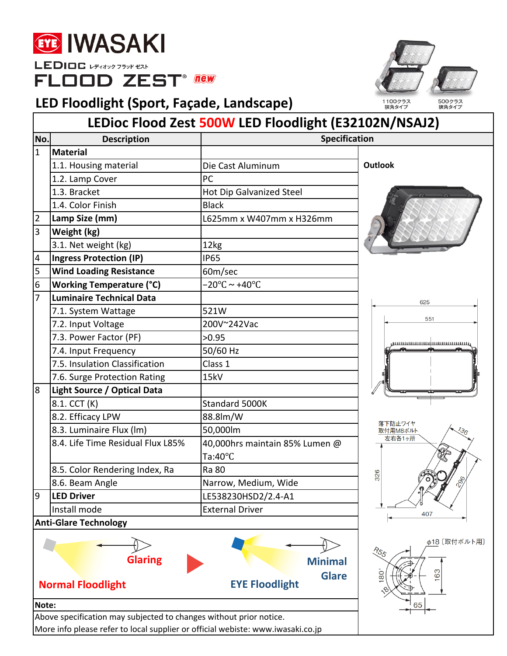

LEDIOG VF(AY) 75YK EXA FLOOD ZEST® MEW

## **LED Floodlight (Sport, Façade, Landscape)**



65

|                |                                    | LEDioc Flood Zest 500W LED Floodlight (E32102N/NSAJ2) |                     |
|----------------|------------------------------------|-------------------------------------------------------|---------------------|
| No.            | <b>Description</b>                 | <b>Specification</b>                                  |                     |
| $\overline{1}$ | <b>Material</b>                    |                                                       |                     |
|                | 1.1. Housing material              | Die Cast Aluminum                                     | <b>Outlook</b>      |
|                | 1.2. Lamp Cover                    | PC                                                    |                     |
|                | 1.3. Bracket                       | Hot Dip Galvanized Steel                              |                     |
|                | 1.4. Color Finish                  | <b>Black</b>                                          |                     |
| 2              | Lamp Size (mm)                     | L625mm x W407mm x H326mm                              |                     |
| 3              | Weight (kg)                        |                                                       |                     |
|                | 3.1. Net weight (kg)               | 12kg                                                  |                     |
| 4              | <b>Ingress Protection (IP)</b>     | <b>IP65</b>                                           |                     |
| 5              | <b>Wind Loading Resistance</b>     | 60m/sec                                               |                     |
| 6              | <b>Working Temperature (°C)</b>    | $-20^{\circ}$ C ~ +40°C                               |                     |
| 7              | <b>Luminaire Technical Data</b>    |                                                       | 625                 |
|                | 7.1. System Wattage                | 521W                                                  |                     |
|                | 7.2. Input Voltage                 | 200V~242Vac                                           | 551                 |
|                | 7.3. Power Factor (PF)             | >0.95                                                 |                     |
|                | 7.4. Input Frequency               | 50/60 Hz                                              |                     |
|                | 7.5. Insulation Classification     | Class 1                                               |                     |
|                | 7.6. Surge Protection Rating       | 15kV                                                  |                     |
| 8              | <b>Light Source / Optical Data</b> |                                                       |                     |
|                | 8.1. CCT (K)                       | Standard 5000K                                        |                     |
|                | 8.2. Efficacy LPW                  | 88.8lm/W                                              |                     |
|                | 8.3. Luminaire Flux (Im)           | 50,000lm                                              | 落下防止ワイヤ<br>取付用M8ボルト |
|                | 8.4. Life Time Residual Flux L85%  | 40,000hrs maintain 85% Lumen @                        | 左右各1ヶ所              |
|                |                                    | $Ta:40^{\circ}C$                                      |                     |
|                | 8.5. Color Rendering Index, Ra     | Ra 80                                                 |                     |
|                | 8.6. Beam Angle                    | Narrow, Medium, Wide                                  | 326<br>296          |
| 9              | <b>LED Driver</b>                  | LE538230HSD2/2.4-A1                                   |                     |
|                | Install mode                       | <b>External Driver</b>                                |                     |
|                | <b>Anti-Glare Technology</b>       |                                                       | 407                 |
|                |                                    |                                                       |                     |
|                |                                    |                                                       | φ18 [取付ボルト用]        |
|                | <b>Glaring</b>                     | <b>Minimal</b>                                        | $\frac{1}{100}$     |
|                |                                    | <b>Glare</b>                                          | 63<br>80            |

## **Normal Floodlight EYE Floodlight**

## **Note:**

Above specification may subjected to changes without prior notice.

More info please refer to local supplier or official webiste: www.iwasaki.co.jp